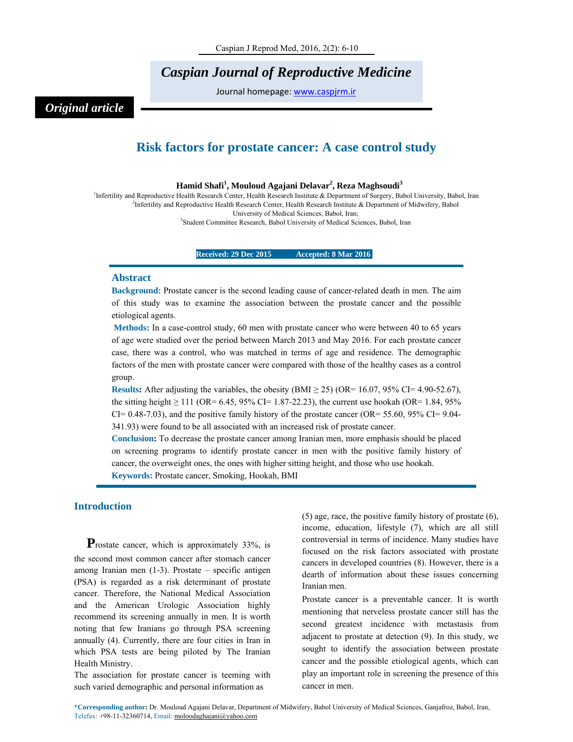# *Caspian Journal of Reproductive Medicine*

Journal homepage: www.caspjrm.ir

# *Original article*

## **Risk factors for prostate cancer: A case control study**

**Hamid Shafi<sup>1</sup> , Mouloud Agajani Delavar2 , Reza Maghsoudi<sup>3</sup>**

<sup>1</sup>Infertility and Reproductive Health Research Center, Health Research Institute & Department of Surgery, Babol University, Babol, Iran 2 Infertility and Reproductive Health Research Center, Health Research Institute & Department of Midwifery, Babol University of Medical Sciences, Babol, Iran;<br><sup>3</sup> Student Committee Research, Babol University of Medical Sciences, Babol, Iran<sup>3</sup>

**Received: 29 Dec 2015** Accepted: 8 Mar 2016

## **Abstract**

**Background:** Prostate cancer is the second leading cause of cancer-related death in men. The aim of this study was to examine the association between the prostate cancer and the possible etiological agents.

**Methods:** In a case-control study, 60 men with prostate cancer who were between 40 to 65 years of age were studied over the period between March 2013 and May 2016. For each prostate cancer case, there was a control, who was matched in terms of age and residence. The demographic factors of the men with prostate cancer were compared with those of the healthy cases as a control group.

**Results:** After adjusting the variables, the obesity (BMI  $\geq$  25) (OR= 16.07, 95% CI= 4.90-52.67), the sitting height  $\geq 111$  (OR= 6.45, 95% CI= 1.87-22.23), the current use hookah (OR= 1.84, 95% CI= 0.48-7.03), and the positive family history of the prostate cancer (OR=  $55.60$ ,  $95\%$  CI=  $9.04$ -341.93) were found to be all associated with an increased risk of prostate cancer.

**Conclusion:** To decrease the prostate cancer among Iranian men, more emphasis should be placed on screening programs to identify prostate cancer in men with the positive family history of cancer, the overweight ones, the ones with higher sitting height, and those who use hookah. **Keywords:** Prostate cancer, Smoking, Hookah, BMI

## **Introduction**

**P**rostate cancer, which is approximately 33%, is the second most common cancer after stomach cancer among Iranian men (1-3). Prostate – specific antigen (PSA) is regarded as a risk determinant of prostate cancer. Therefore, the National Medical Association and the American Urologic Association highly recommend its screening annually in men. It is worth noting that few Iranians go through PSA screening annually (4). Currently, there are four cities in Iran in which PSA tests are being piloted by The Iranian Health Ministry.

The association for prostate cancer is teeming with such varied demographic and personal information as

(5) age, race, the positive family history of prostate (6), income, education, lifestyle (7), which are all still controversial in terms of incidence. Many studies have focused on the risk factors associated with prostate cancers in developed countries (8). However, there is a dearth of information about these issues concerning Iranian men.

Prostate cancer is a preventable cancer. It is worth mentioning that nerveless prostate cancer still has the second greatest incidence with metastasis from adjacent to prostate at detection (9). In this study, we sought to identify the association between prostate cancer and the possible etiological agents, which can play an important role in screening the presence of this cancer in men.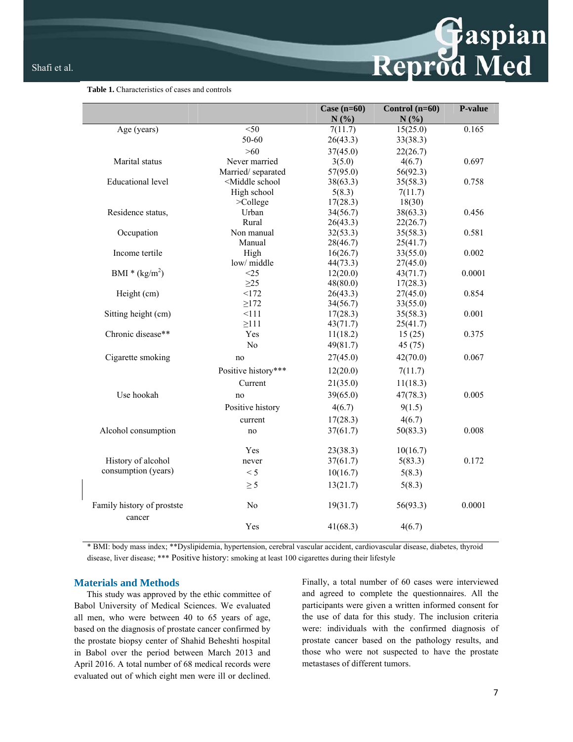## **Table 1.** Characteristics of cases and controls

|                                      |                                                                                    | Case $(n=60)$ | Control $(n=60)$ | P-value |
|--------------------------------------|------------------------------------------------------------------------------------|---------------|------------------|---------|
|                                      |                                                                                    | N(%)          | N(%)             |         |
| Age (years)                          | $<$ 50                                                                             | 7(11.7)       | 15(25.0)         | 0.165   |
|                                      | 50-60                                                                              | 26(43.3)      | 33(38.3)         |         |
|                                      | $>60$                                                                              | 37(45.0)      | 22(26.7)         |         |
| Marital status                       | Never married                                                                      | 3(5.0)        | 4(6.7)           | 0.697   |
|                                      | Married/separated                                                                  | 57(95.0)      | 56(92.3)         |         |
| <b>Educational level</b>             | <middle school<="" td=""><td>38(63.3)</td><td>35(58.3)</td><td>0.758</td></middle> | 38(63.3)      | 35(58.3)         | 0.758   |
|                                      | High school                                                                        | 5(8.3)        | 7(11.7)          |         |
|                                      | $>$ College                                                                        | 17(28.3)      | 18(30)           |         |
| Residence status,                    | Urban                                                                              | 34(56.7)      | 38(63.3)         | 0.456   |
|                                      | Rural                                                                              | 26(43.3)      | 22(26.7)         |         |
| Occupation                           | Non manual                                                                         | 32(53.3)      | 35(58.3)         | 0.581   |
|                                      | Manual                                                                             | 28(46.7)      | 25(41.7)         |         |
| Income tertile                       | High                                                                               | 16(26.7)      | 33(55.0)         | 0.002   |
|                                      | low/ middle                                                                        | 44(73.3)      | 27(45.0)         |         |
| BMI * $(kg/m2)$                      | <25                                                                                | 12(20.0)      | 43(71.7)         | 0.0001  |
|                                      | $\geq$ 25                                                                          | 48(80.0)      | 17(28.3)         |         |
| Height (cm)                          | <172                                                                               | 26(43.3)      | 27(45.0)         | 0.854   |
|                                      | $\geq$ 172                                                                         | 34(56.7)      | 33(55.0)         |         |
| Sitting height (cm)                  | <111<br>$\geq$ 111                                                                 | 17(28.3)      | 35(58.3)         | 0.001   |
| Chronic disease**                    | Yes                                                                                | 43(71.7)      | 25(41.7)         |         |
|                                      |                                                                                    | 11(18.2)      | 15(25)           | 0.375   |
|                                      | N <sub>o</sub>                                                                     | 49(81.7)      | 45(75)           |         |
| Cigarette smoking                    | no                                                                                 | 27(45.0)      | 42(70.0)         | 0.067   |
|                                      | Positive history***                                                                | 12(20.0)      | 7(11.7)          |         |
|                                      | Current                                                                            | 21(35.0)      | 11(18.3)         |         |
| Use hookah                           | no                                                                                 | 39(65.0)      | 47(78.3)         | 0.005   |
|                                      | Positive history                                                                   | 4(6.7)        | 9(1.5)           |         |
|                                      | current                                                                            | 17(28.3)      | 4(6.7)           |         |
| Alcohol consumption                  | no                                                                                 | 37(61.7)      | 50(83.3)         | 0.008   |
|                                      | Yes                                                                                | 23(38.3)      | 10(16.7)         |         |
| History of alcohol                   | never                                                                              | 37(61.7)      | 5(83.3)          | 0.172   |
| consumption (years)                  | < 5                                                                                | 10(16.7)      | 5(8.3)           |         |
|                                      | $\geq$ 5                                                                           | 13(21.7)      | 5(8.3)           |         |
| Family history of prostste<br>cancer | N <sub>0</sub>                                                                     | 19(31.7)      | 56(93.3)         | 0.0001  |
|                                      | Yes                                                                                | 41(68.3)      | 4(6.7)           |         |

\* BMI: body mass index; \*\*Dyslipidemia, hypertension, cerebral vascular accident, cardiovascular disease, diabetes, thyroid disease, liver disease; \*\*\* Positive history: smoking at least 100 cigarettes during their lifestyle

## **Materials and Methods**

This study was approved by the ethic committee of Babol University of Medical Sciences. We evaluated all men, who were between 40 to 65 years of age, based on the diagnosis of prostate cancer confirmed by the prostate biopsy center of Shahid Beheshti hospital in Babol over the period between March 2013 and April 2016. A total number of 68 medical records were evaluated out of which eight men were ill or declined.

Finally, a total number of 60 cases were interviewed and agreed to complete the questionnaires. All the participants were given a written informed consent for the use of data for this study. The inclusion criteria were: individuals with the confirmed diagnosis of prostate cancer based on the pathology results, and those who were not suspected to have the prostate metastases of different tumors.

Reprod Med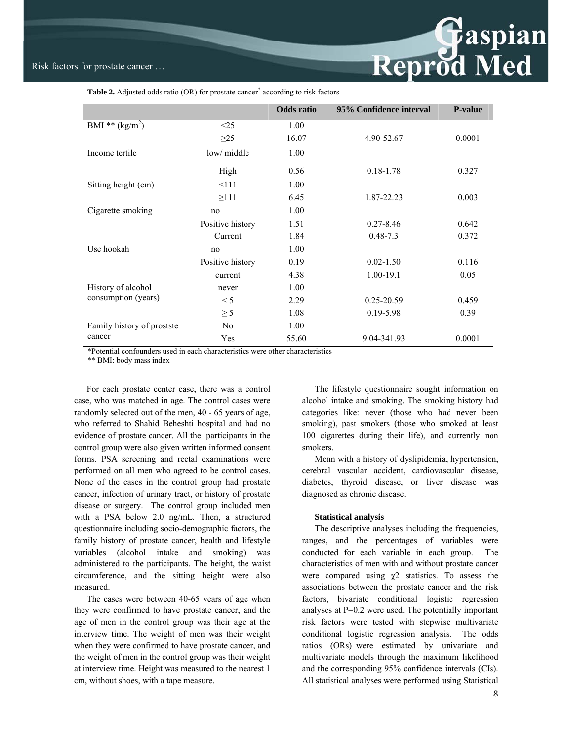# **Example 18**<br>Reprod Med

Table 2. Adjusted odds ratio (OR) for prostate cancer<sup>\*</sup> according to risk factors

|                                           |                  | <b>Odds</b> ratio | 95% Confidence interval | <b>P-value</b> |
|-------------------------------------------|------------------|-------------------|-------------------------|----------------|
| BMI ** $(kg/m^2)$                         | $\leq$ 25        | 1.00              |                         |                |
|                                           | $\geq$ 25        | 16.07             | 4.90-52.67              | 0.0001         |
| Income tertile                            | low/ middle      | 1.00              |                         |                |
|                                           | High             | 0.56              | $0.18 - 1.78$           | 0.327          |
| Sitting height (cm)                       | <111             | 1.00              |                         |                |
|                                           | $\geq$ 111       | 6.45              | 1.87-22.23              | 0.003          |
| Cigarette smoking                         | no               | 1.00              |                         |                |
| Use hookah                                | Positive history | 1.51              | $0.27 - 8.46$           | 0.642          |
|                                           | Current          | 1.84              | $0.48 - 7.3$            | 0.372          |
|                                           | no               | 1.00              |                         |                |
|                                           | Positive history | 0.19              | $0.02 - 1.50$           | 0.116          |
|                                           | current          | 4.38              | $1.00 - 19.1$           | 0.05           |
| History of alcohol<br>consumption (years) | never            | 1.00              |                         |                |
|                                           | $\leq 5$         | 2.29              | $0.25 - 20.59$          | 0.459          |
|                                           | $\geq$ 5         | 1.08              | 0.19-5.98               | 0.39           |
| Family history of prostste<br>cancer      | N <sub>0</sub>   | 1.00              |                         |                |
|                                           | Yes              | 55.60             | 9.04-341.93             | 0.0001         |

\*Potential confounders used in each characteristics were other characteristics

\*\* BMI: body mass index

For each prostate center case, there was a control case, who was matched in age. The control cases were randomly selected out of the men, 40 - 65 years of age, who referred to Shahid Beheshti hospital and had no evidence of prostate cancer. All the participants in the control group were also given written informed consent forms. PSA screening and rectal examinations were performed on all men who agreed to be control cases. None of the cases in the control group had prostate cancer, infection of urinary tract, or history of prostate disease or surgery. The control group included men with a PSA below 2.0 ng/mL. Then, a structured questionnaire including socio-demographic factors, the family history of prostate cancer, health and lifestyle variables (alcohol intake and smoking) was administered to the participants. The height, the waist circumference, and the sitting height were also measured.

The cases were between 40-65 years of age when they were confirmed to have prostate cancer, and the age of men in the control group was their age at the interview time. The weight of men was their weight when they were confirmed to have prostate cancer, and the weight of men in the control group was their weight at interview time. Height was measured to the nearest 1 cm, without shoes, with a tape measure.

The lifestyle questionnaire sought information on alcohol intake and smoking. The smoking history had categories like: never (those who had never been smoking), past smokers (those who smoked at least 100 cigarettes during their life), and currently non smokers.

Menn with a history of dyslipidemia, hypertension, cerebral vascular accident, cardiovascular disease, diabetes, thyroid disease, or liver disease was diagnosed as chronic disease.

## **Statistical analysis**

The descriptive analyses including the frequencies, ranges, and the percentages of variables were conducted for each variable in each group. The characteristics of men with and without prostate cancer were compared using  $\chi$ 2 statistics. To assess the associations between the prostate cancer and the risk factors, bivariate conditional logistic regression analyses at P=0.2 were used. The potentially important risk factors were tested with stepwise multivariate conditional logistic regression analysis. The odds ratios (ORs) were estimated by univariate and multivariate models through the maximum likelihood and the corresponding 95% confidence intervals (CIs). All statistical analyses were performed using Statistical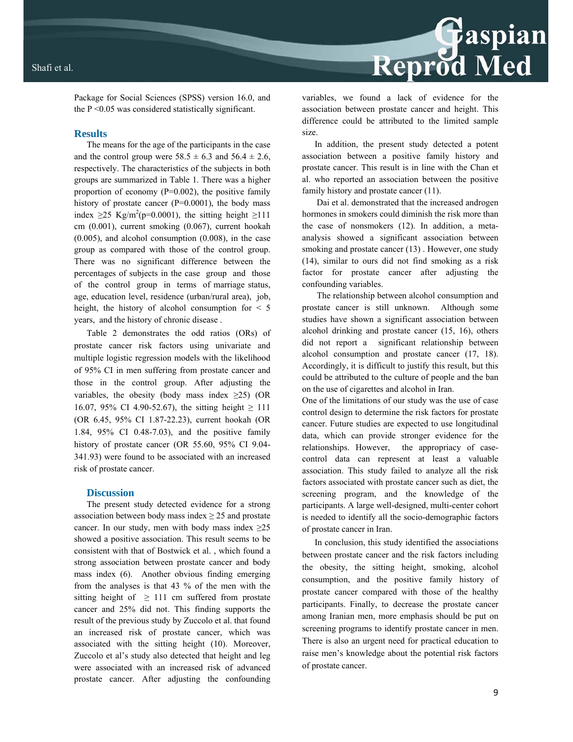

Package for Social Sciences (SPSS) version 16.0, and the P <0.05 was considered statistically significant.

## **Results**

The means for the age of the participants in the case and the control group were  $58.5 \pm 6.3$  and  $56.4 \pm 2.6$ , respectively. The characteristics of the subjects in both groups are summarized in Table 1. There was a higher proportion of economy (P=0.002), the positive family history of prostate cancer  $(P=0.0001)$ , the body mass index  $\geq$ 25 Kg/m<sup>2</sup>(p=0.0001), the sitting height  $\geq$ 111 cm (0.001), current smoking (0.067), current hookah (0.005), and alcohol consumption (0.008), in the case group as compared with those of the control group. There was no significant difference between the percentages of subjects in the case group and those of the control group in terms of marriage status, age, education level, residence (urban/rural area), job, height, the history of alcohol consumption for < 5 years, and the history of chronic disease .

Table 2 demonstrates the odd ratios (ORs) of prostate cancer risk factors using univariate and multiple logistic regression models with the likelihood of 95% CI in men suffering from prostate cancer and those in the control group. After adjusting the variables, the obesity (body mass index  $\geq$ 25) (OR 16.07, 95% CI 4.90-52.67), the sitting height  $\geq 111$ (OR 6.45, 95% CI 1.87-22.23), current hookah (OR 1.84, 95% CI 0.48-7.03), and the positive family history of prostate cancer (OR 55.60, 95% CI 9.04- 341.93) were found to be associated with an increased risk of prostate cancer.

## **Discussion**

The present study detected evidence for a strong association between body mass index  $\geq$  25 and prostate cancer. In our study, men with body mass index  $\geq 25$ showed a positive association. This result seems to be consistent with that of Bostwick et al. , which found a strong association between prostate cancer and body mass index (6). Another obvious finding emerging from the analyses is that 43 % of the men with the sitting height of  $\geq$  111 cm suffered from prostate cancer and 25% did not. This finding supports the result of the previous study by Zuccolo et al. that found an increased risk of prostate cancer, which was associated with the sitting height (10). Moreover, Zuccolo et al's study also detected that height and leg were associated with an increased risk of advanced prostate cancer. After adjusting the confounding

variables, we found a lack of evidence for the association between prostate cancer and height. This difference could be attributed to the limited sample size.

In addition, the present study detected a potent association between a positive family history and prostate cancer. This result is in line with the Chan et al. who reported an association between the positive family history and prostate cancer (11).

 Dai et al. demonstrated that the increased androgen hormones in smokers could diminish the risk more than the case of nonsmokers (12). In addition, a metaanalysis showed a significant association between smoking and prostate cancer (13) . However, one study (14), similar to ours did not find smoking as a risk factor for prostate cancer after adjusting the confounding variables.

 The relationship between alcohol consumption and prostate cancer is still unknown. Although some studies have shown a significant association between alcohol drinking and prostate cancer (15, 16), others did not report a significant relationship between alcohol consumption and prostate cancer (17, 18). Accordingly, it is difficult to justify this result, but this could be attributed to the culture of people and the ban on the use of cigarettes and alcohol in Iran.

One of the limitations of our study was the use of case control design to determine the risk factors for prostate cancer. Future studies are expected to use longitudinal data, which can provide stronger evidence for the relationships. However, the appropriacy of casecontrol data can represent at least a valuable association. This study failed to analyze all the risk factors associated with prostate cancer such as diet, the screening program, and the knowledge of the participants. A large well-designed, multi-center cohort is needed to identify all the socio-demographic factors of prostate cancer in Iran.

In conclusion, this study identified the associations between prostate cancer and the risk factors including the obesity, the sitting height, smoking, alcohol consumption, and the positive family history of prostate cancer compared with those of the healthy participants. Finally, to decrease the prostate cancer among Iranian men, more emphasis should be put on screening programs to identify prostate cancer in men. There is also an urgent need for practical education to raise men's knowledge about the potential risk factors of prostate cancer.